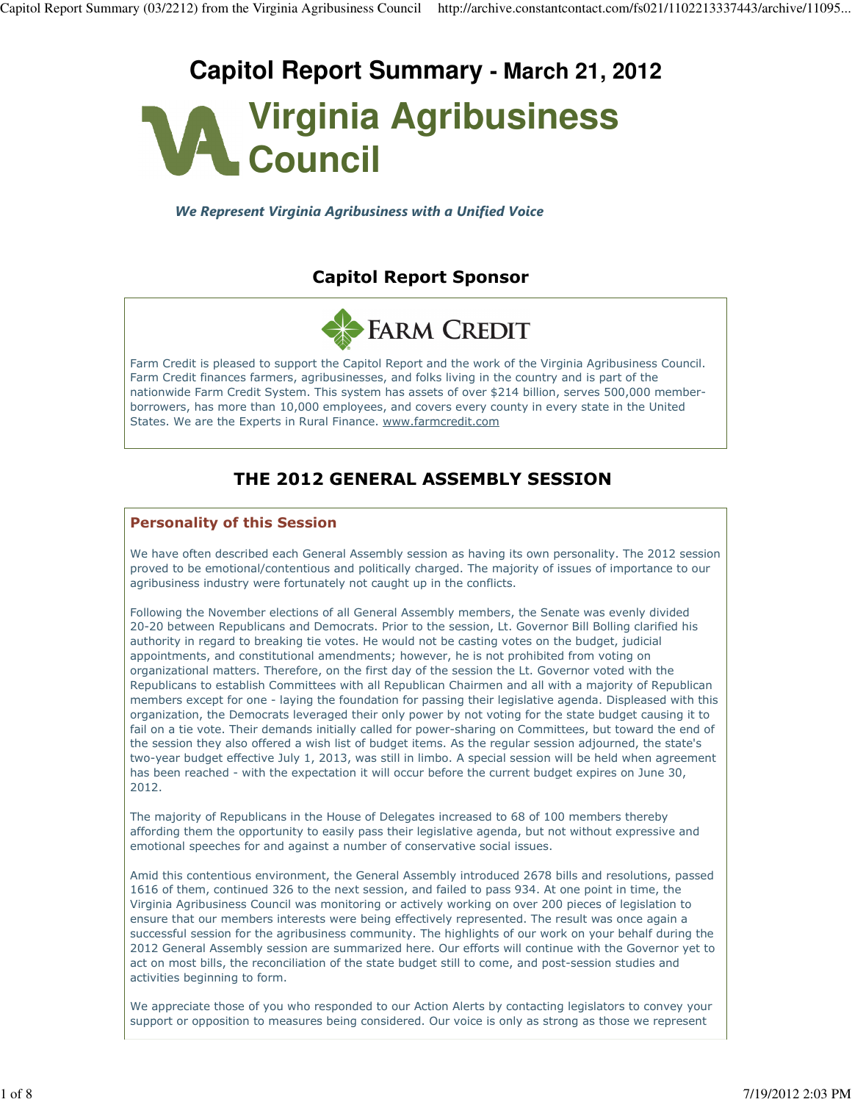# **Capitol Report Summary - March 21, 2012**



We Represent Virginia Agribusiness with a Unified Voice

# Capitol Report Sponsor



Farm Credit is pleased to support the Capitol Report and the work of the Virginia Agribusiness Council. Farm Credit finances farmers, agribusinesses, and folks living in the country and is part of the nationwide Farm Credit System. This system has assets of over \$214 billion, serves 500,000 memberborrowers, has more than 10,000 employees, and covers every county in every state in the United States. We are the Experts in Rural Finance. www.farmcredit.com

# THE 2012 GENERAL ASSEMBLY SESSION

#### Personality of this Session

We have often described each General Assembly session as having its own personality. The 2012 session proved to be emotional/contentious and politically charged. The majority of issues of importance to our agribusiness industry were fortunately not caught up in the conflicts.

Following the November elections of all General Assembly members, the Senate was evenly divided 20-20 between Republicans and Democrats. Prior to the session, Lt. Governor Bill Bolling clarified his authority in regard to breaking tie votes. He would not be casting votes on the budget, judicial appointments, and constitutional amendments; however, he is not prohibited from voting on organizational matters. Therefore, on the first day of the session the Lt. Governor voted with the Republicans to establish Committees with all Republican Chairmen and all with a majority of Republican members except for one - laying the foundation for passing their legislative agenda. Displeased with this organization, the Democrats leveraged their only power by not voting for the state budget causing it to fail on a tie vote. Their demands initially called for power-sharing on Committees, but toward the end of the session they also offered a wish list of budget items. As the regular session adjourned, the state's two-year budget effective July 1, 2013, was still in limbo. A special session will be held when agreement has been reached - with the expectation it will occur before the current budget expires on June 30, 2012.

The majority of Republicans in the House of Delegates increased to 68 of 100 members thereby affording them the opportunity to easily pass their legislative agenda, but not without expressive and emotional speeches for and against a number of conservative social issues.

Amid this contentious environment, the General Assembly introduced 2678 bills and resolutions, passed 1616 of them, continued 326 to the next session, and failed to pass 934. At one point in time, the Virginia Agribusiness Council was monitoring or actively working on over 200 pieces of legislation to ensure that our members interests were being effectively represented. The result was once again a successful session for the agribusiness community. The highlights of our work on your behalf during the 2012 General Assembly session are summarized here. Our efforts will continue with the Governor yet to act on most bills, the reconciliation of the state budget still to come, and post-session studies and activities beginning to form.

We appreciate those of you who responded to our Action Alerts by contacting legislators to convey your support or opposition to measures being considered. Our voice is only as strong as those we represent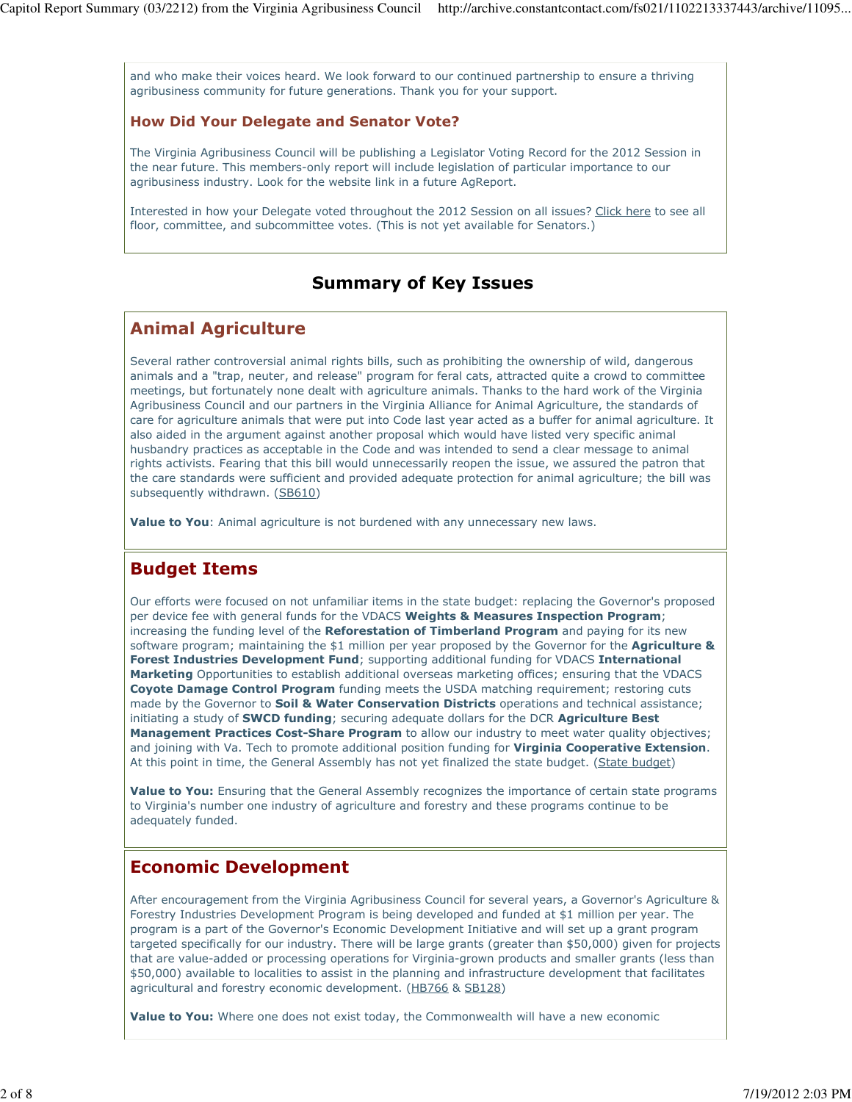and who make their voices heard. We look forward to our continued partnership to ensure a thriving agribusiness community for future generations. Thank you for your support.

#### How Did Your Delegate and Senator Vote?

The Virginia Agribusiness Council will be publishing a Legislator Voting Record for the 2012 Session in the near future. This members-only report will include legislation of particular importance to our agribusiness industry. Look for the website link in a future AgReport.

Interested in how your Delegate voted throughout the 2012 Session on all issues? Click here to see all floor, committee, and subcommittee votes. (This is not yet available for Senators.)

#### Summary of Key Issues

#### Animal Agriculture

Several rather controversial animal rights bills, such as prohibiting the ownership of wild, dangerous animals and a "trap, neuter, and release" program for feral cats, attracted quite a crowd to committee meetings, but fortunately none dealt with agriculture animals. Thanks to the hard work of the Virginia Agribusiness Council and our partners in the Virginia Alliance for Animal Agriculture, the standards of care for agriculture animals that were put into Code last year acted as a buffer for animal agriculture. It also aided in the argument against another proposal which would have listed very specific animal husbandry practices as acceptable in the Code and was intended to send a clear message to animal rights activists. Fearing that this bill would unnecessarily reopen the issue, we assured the patron that the care standards were sufficient and provided adequate protection for animal agriculture; the bill was subsequently withdrawn. (SB610)

Value to You: Animal agriculture is not burdened with any unnecessary new laws.

#### Budget Items

Our efforts were focused on not unfamiliar items in the state budget: replacing the Governor's proposed per device fee with general funds for the VDACS Weights & Measures Inspection Program; increasing the funding level of the Reforestation of Timberland Program and paying for its new software program; maintaining the \$1 million per year proposed by the Governor for the **Agriculture &** Forest Industries Development Fund; supporting additional funding for VDACS International Marketing Opportunities to establish additional overseas marketing offices; ensuring that the VDACS Coyote Damage Control Program funding meets the USDA matching requirement; restoring cuts made by the Governor to **Soil & Water Conservation Districts** operations and technical assistance; initiating a study of **SWCD funding**; securing adequate dollars for the DCR Agriculture Best Management Practices Cost-Share Program to allow our industry to meet water quality objectives; and joining with Va. Tech to promote additional position funding for Virginia Cooperative Extension. At this point in time, the General Assembly has not yet finalized the state budget. (State budget)

Value to You: Ensuring that the General Assembly recognizes the importance of certain state programs to Virginia's number one industry of agriculture and forestry and these programs continue to be adequately funded.

#### Economic Development

After encouragement from the Virginia Agribusiness Council for several years, a Governor's Agriculture & Forestry Industries Development Program is being developed and funded at \$1 million per year. The program is a part of the Governor's Economic Development Initiative and will set up a grant program targeted specifically for our industry. There will be large grants (greater than \$50,000) given for projects that are value-added or processing operations for Virginia-grown products and smaller grants (less than \$50,000) available to localities to assist in the planning and infrastructure development that facilitates agricultural and forestry economic development. (HB766 & SB128)

Value to You: Where one does not exist today, the Commonwealth will have a new economic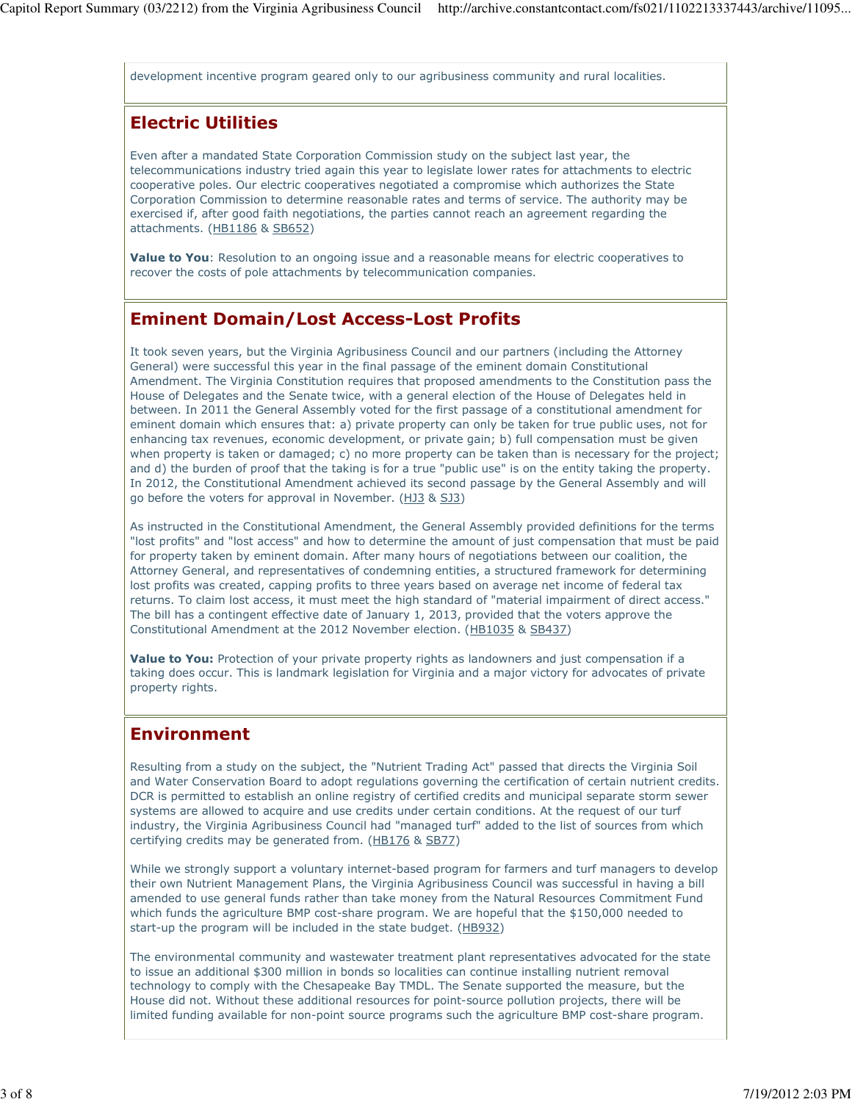development incentive program geared only to our agribusiness community and rural localities.

# Electric Utilities

Even after a mandated State Corporation Commission study on the subject last year, the telecommunications industry tried again this year to legislate lower rates for attachments to electric cooperative poles. Our electric cooperatives negotiated a compromise which authorizes the State Corporation Commission to determine reasonable rates and terms of service. The authority may be exercised if, after good faith negotiations, the parties cannot reach an agreement regarding the attachments. (HB1186 & SB652)

Value to You: Resolution to an ongoing issue and a reasonable means for electric cooperatives to recover the costs of pole attachments by telecommunication companies.

# Eminent Domain/Lost Access-Lost Profits

It took seven years, but the Virginia Agribusiness Council and our partners (including the Attorney General) were successful this year in the final passage of the eminent domain Constitutional Amendment. The Virginia Constitution requires that proposed amendments to the Constitution pass the House of Delegates and the Senate twice, with a general election of the House of Delegates held in between. In 2011 the General Assembly voted for the first passage of a constitutional amendment for eminent domain which ensures that: a) private property can only be taken for true public uses, not for enhancing tax revenues, economic development, or private gain; b) full compensation must be given when property is taken or damaged; c) no more property can be taken than is necessary for the project; and d) the burden of proof that the taking is for a true "public use" is on the entity taking the property. In 2012, the Constitutional Amendment achieved its second passage by the General Assembly and will go before the voters for approval in November. (HJ3 & SJ3)

As instructed in the Constitutional Amendment, the General Assembly provided definitions for the terms "lost profits" and "lost access" and how to determine the amount of just compensation that must be paid for property taken by eminent domain. After many hours of negotiations between our coalition, the Attorney General, and representatives of condemning entities, a structured framework for determining lost profits was created, capping profits to three years based on average net income of federal tax returns. To claim lost access, it must meet the high standard of "material impairment of direct access." The bill has a contingent effective date of January 1, 2013, provided that the voters approve the Constitutional Amendment at the 2012 November election. (HB1035 & SB437)

Value to You: Protection of your private property rights as landowners and just compensation if a taking does occur. This is landmark legislation for Virginia and a major victory for advocates of private property rights.

# Environment

Resulting from a study on the subject, the "Nutrient Trading Act" passed that directs the Virginia Soil and Water Conservation Board to adopt regulations governing the certification of certain nutrient credits. DCR is permitted to establish an online registry of certified credits and municipal separate storm sewer systems are allowed to acquire and use credits under certain conditions. At the request of our turf industry, the Virginia Agribusiness Council had "managed turf" added to the list of sources from which certifying credits may be generated from. (HB176 & SB77)

While we strongly support a voluntary internet-based program for farmers and turf managers to develop their own Nutrient Management Plans, the Virginia Agribusiness Council was successful in having a bill amended to use general funds rather than take money from the Natural Resources Commitment Fund which funds the agriculture BMP cost-share program. We are hopeful that the \$150,000 needed to start-up the program will be included in the state budget. (HB932)

The environmental community and wastewater treatment plant representatives advocated for the state to issue an additional \$300 million in bonds so localities can continue installing nutrient removal technology to comply with the Chesapeake Bay TMDL. The Senate supported the measure, but the House did not. Without these additional resources for point-source pollution projects, there will be limited funding available for non-point source programs such the agriculture BMP cost-share program.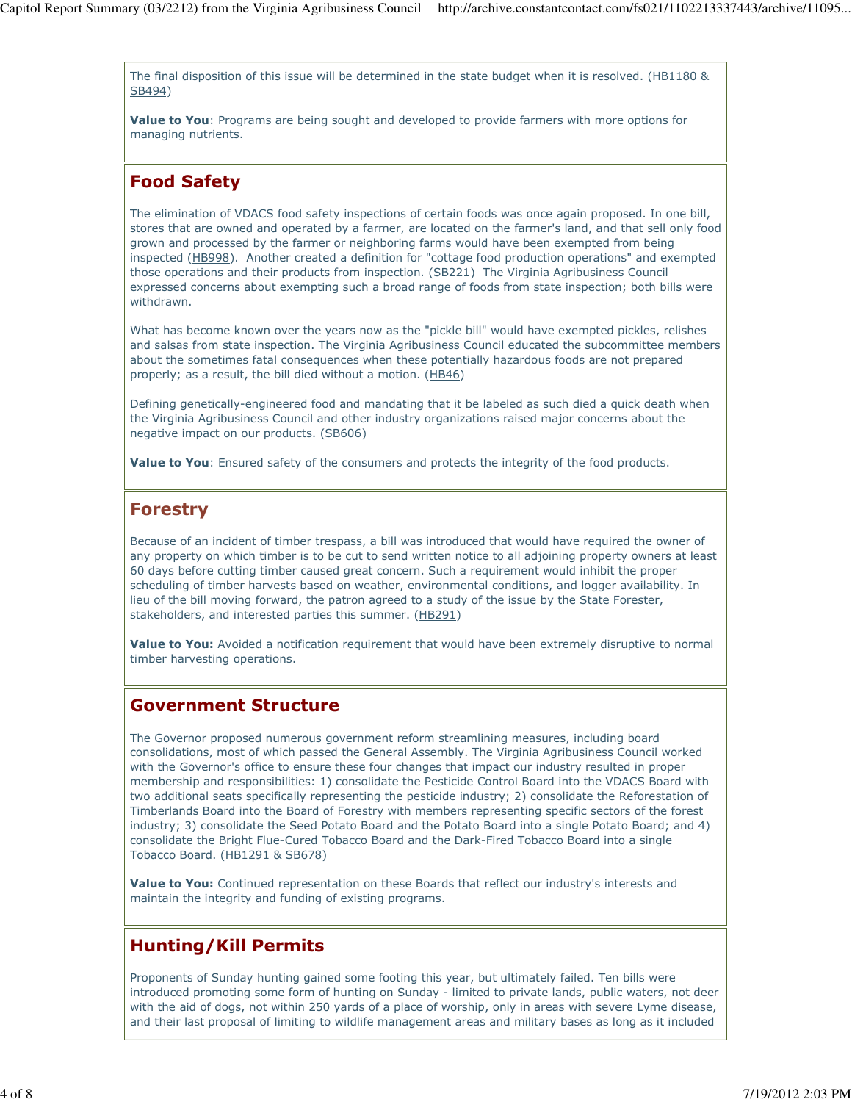The final disposition of this issue will be determined in the state budget when it is resolved. (HB1180 & SB494)

Value to You: Programs are being sought and developed to provide farmers with more options for managing nutrients.

### Food Safety

The elimination of VDACS food safety inspections of certain foods was once again proposed. In one bill, stores that are owned and operated by a farmer, are located on the farmer's land, and that sell only food grown and processed by the farmer or neighboring farms would have been exempted from being inspected (HB998). Another created a definition for "cottage food production operations" and exempted those operations and their products from inspection. (SB221) The Virginia Agribusiness Council expressed concerns about exempting such a broad range of foods from state inspection; both bills were withdrawn.

What has become known over the years now as the "pickle bill" would have exempted pickles, relishes and salsas from state inspection. The Virginia Agribusiness Council educated the subcommittee members about the sometimes fatal consequences when these potentially hazardous foods are not prepared properly; as a result, the bill died without a motion. (HB46)

Defining genetically-engineered food and mandating that it be labeled as such died a quick death when the Virginia Agribusiness Council and other industry organizations raised major concerns about the negative impact on our products. (SB606)

Value to You: Ensured safety of the consumers and protects the integrity of the food products.

#### Forestry

Because of an incident of timber trespass, a bill was introduced that would have required the owner of any property on which timber is to be cut to send written notice to all adjoining property owners at least 60 days before cutting timber caused great concern. Such a requirement would inhibit the proper scheduling of timber harvests based on weather, environmental conditions, and logger availability. In lieu of the bill moving forward, the patron agreed to a study of the issue by the State Forester, stakeholders, and interested parties this summer. (HB291)

Value to You: Avoided a notification requirement that would have been extremely disruptive to normal timber harvesting operations.

#### Government Structure

The Governor proposed numerous government reform streamlining measures, including board consolidations, most of which passed the General Assembly. The Virginia Agribusiness Council worked with the Governor's office to ensure these four changes that impact our industry resulted in proper membership and responsibilities: 1) consolidate the Pesticide Control Board into the VDACS Board with two additional seats specifically representing the pesticide industry; 2) consolidate the Reforestation of Timberlands Board into the Board of Forestry with members representing specific sectors of the forest industry; 3) consolidate the Seed Potato Board and the Potato Board into a single Potato Board; and 4) consolidate the Bright Flue-Cured Tobacco Board and the Dark-Fired Tobacco Board into a single Tobacco Board. (HB1291 & SB678)

Value to You: Continued representation on these Boards that reflect our industry's interests and maintain the integrity and funding of existing programs.

# Hunting/Kill Permits

Proponents of Sunday hunting gained some footing this year, but ultimately failed. Ten bills were introduced promoting some form of hunting on Sunday - limited to private lands, public waters, not deer with the aid of dogs, not within 250 yards of a place of worship, only in areas with severe Lyme disease, and their last proposal of limiting to wildlife management areas and military bases as long as it included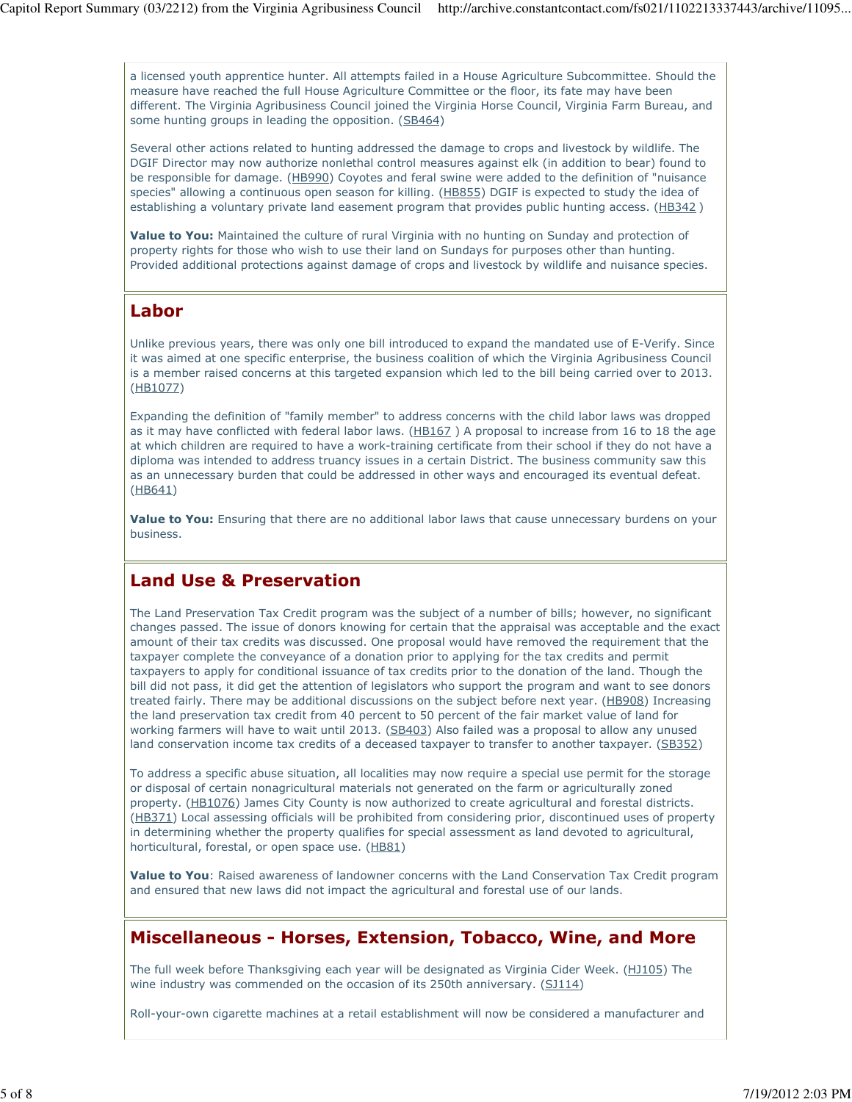a licensed youth apprentice hunter. All attempts failed in a House Agriculture Subcommittee. Should the measure have reached the full House Agriculture Committee or the floor, its fate may have been different. The Virginia Agribusiness Council joined the Virginia Horse Council, Virginia Farm Bureau, and some hunting groups in leading the opposition. (SB464)

Several other actions related to hunting addressed the damage to crops and livestock by wildlife. The DGIF Director may now authorize nonlethal control measures against elk (in addition to bear) found to be responsible for damage. (HB990) Coyotes and feral swine were added to the definition of "nuisance species" allowing a continuous open season for killing. (HB855) DGIF is expected to study the idea of establishing a voluntary private land easement program that provides public hunting access. (HB342)

Value to You: Maintained the culture of rural Virginia with no hunting on Sunday and protection of property rights for those who wish to use their land on Sundays for purposes other than hunting. Provided additional protections against damage of crops and livestock by wildlife and nuisance species.

#### Labor

Unlike previous years, there was only one bill introduced to expand the mandated use of E-Verify. Since it was aimed at one specific enterprise, the business coalition of which the Virginia Agribusiness Council is a member raised concerns at this targeted expansion which led to the bill being carried over to 2013. (HB1077)

Expanding the definition of "family member" to address concerns with the child labor laws was dropped as it may have conflicted with federal labor laws. (HB167) A proposal to increase from 16 to 18 the age at which children are required to have a work-training certificate from their school if they do not have a diploma was intended to address truancy issues in a certain District. The business community saw this as an unnecessary burden that could be addressed in other ways and encouraged its eventual defeat. (HB641)

Value to You: Ensuring that there are no additional labor laws that cause unnecessary burdens on your business.

#### Land Use & Preservation

The Land Preservation Tax Credit program was the subject of a number of bills; however, no significant changes passed. The issue of donors knowing for certain that the appraisal was acceptable and the exact amount of their tax credits was discussed. One proposal would have removed the requirement that the taxpayer complete the conveyance of a donation prior to applying for the tax credits and permit taxpayers to apply for conditional issuance of tax credits prior to the donation of the land. Though the bill did not pass, it did get the attention of legislators who support the program and want to see donors treated fairly. There may be additional discussions on the subject before next year. (HB908) Increasing the land preservation tax credit from 40 percent to 50 percent of the fair market value of land for working farmers will have to wait until 2013. (SB403) Also failed was a proposal to allow any unused land conservation income tax credits of a deceased taxpayer to transfer to another taxpayer. (SB352)

To address a specific abuse situation, all localities may now require a special use permit for the storage or disposal of certain nonagricultural materials not generated on the farm or agriculturally zoned property. (HB1076) James City County is now authorized to create agricultural and forestal districts. (HB371) Local assessing officials will be prohibited from considering prior, discontinued uses of property in determining whether the property qualifies for special assessment as land devoted to agricultural, horticultural, forestal, or open space use. (HB81)

Value to You: Raised awareness of landowner concerns with the Land Conservation Tax Credit program and ensured that new laws did not impact the agricultural and forestal use of our lands.

#### Miscellaneous - Horses, Extension, Tobacco, Wine, and More

The full week before Thanksgiving each year will be designated as Virginia Cider Week. (HJ105) The wine industry was commended on the occasion of its 250th anniversary. (SJ114)

Roll-your-own cigarette machines at a retail establishment will now be considered a manufacturer and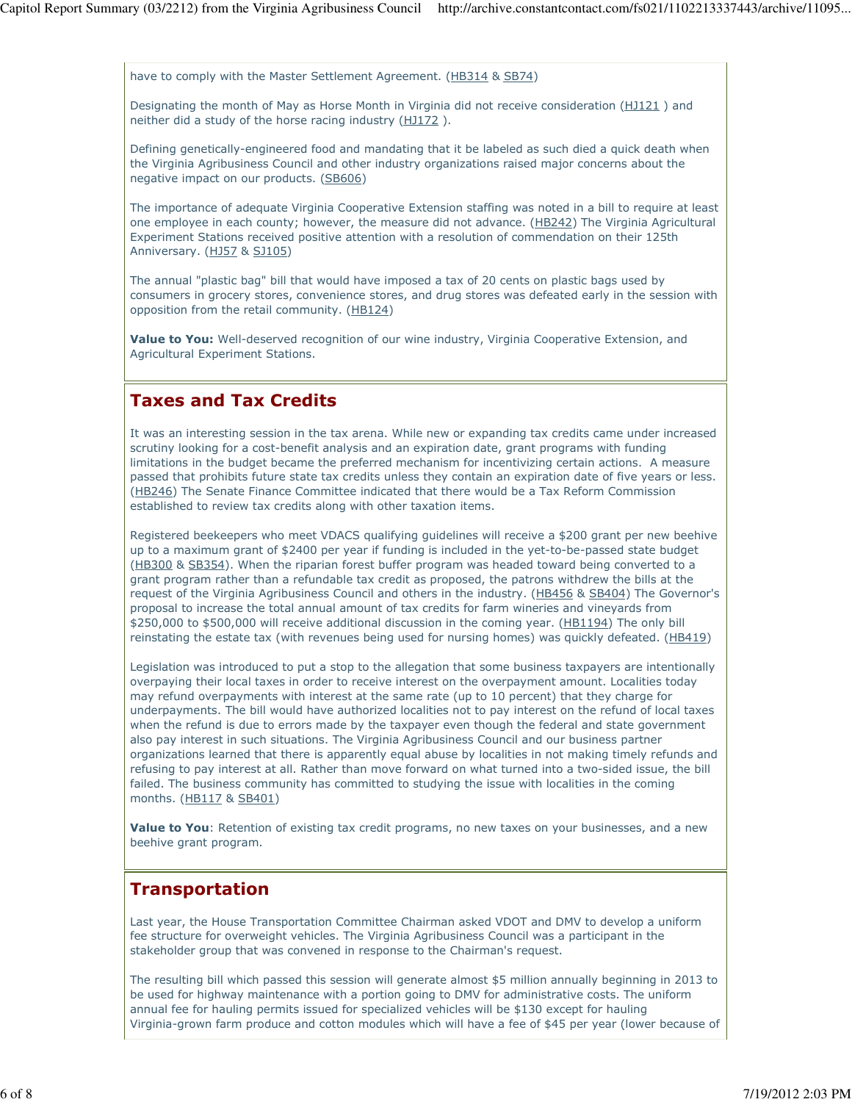have to comply with the Master Settlement Agreement. (HB314 & SB74)

Designating the month of May as Horse Month in Virginia did not receive consideration (HJ121) and neither did a study of the horse racing industry (HJ172 ).

Defining genetically-engineered food and mandating that it be labeled as such died a quick death when the Virginia Agribusiness Council and other industry organizations raised major concerns about the negative impact on our products. (SB606)

The importance of adequate Virginia Cooperative Extension staffing was noted in a bill to require at least one employee in each county; however, the measure did not advance. (HB242) The Virginia Agricultural Experiment Stations received positive attention with a resolution of commendation on their 125th Anniversary. (HJ57 & SJ105)

The annual "plastic bag" bill that would have imposed a tax of 20 cents on plastic bags used by consumers in grocery stores, convenience stores, and drug stores was defeated early in the session with opposition from the retail community. (HB124)

Value to You: Well-deserved recognition of our wine industry, Virginia Cooperative Extension, and Agricultural Experiment Stations.

#### Taxes and Tax Credits

It was an interesting session in the tax arena. While new or expanding tax credits came under increased scrutiny looking for a cost-benefit analysis and an expiration date, grant programs with funding limitations in the budget became the preferred mechanism for incentivizing certain actions. A measure passed that prohibits future state tax credits unless they contain an expiration date of five years or less. (HB246) The Senate Finance Committee indicated that there would be a Tax Reform Commission established to review tax credits along with other taxation items.

Registered beekeepers who meet VDACS qualifying guidelines will receive a \$200 grant per new beehive up to a maximum grant of \$2400 per year if funding is included in the yet-to-be-passed state budget (HB300 & SB354). When the riparian forest buffer program was headed toward being converted to a grant program rather than a refundable tax credit as proposed, the patrons withdrew the bills at the request of the Virginia Agribusiness Council and others in the industry. (HB456 & SB404) The Governor's proposal to increase the total annual amount of tax credits for farm wineries and vineyards from \$250,000 to \$500,000 will receive additional discussion in the coming year. (HB1194) The only bill reinstating the estate tax (with revenues being used for nursing homes) was quickly defeated. (HB419)

Legislation was introduced to put a stop to the allegation that some business taxpayers are intentionally overpaying their local taxes in order to receive interest on the overpayment amount. Localities today may refund overpayments with interest at the same rate (up to 10 percent) that they charge for underpayments. The bill would have authorized localities not to pay interest on the refund of local taxes when the refund is due to errors made by the taxpayer even though the federal and state government also pay interest in such situations. The Virginia Agribusiness Council and our business partner organizations learned that there is apparently equal abuse by localities in not making timely refunds and refusing to pay interest at all. Rather than move forward on what turned into a two-sided issue, the bill failed. The business community has committed to studying the issue with localities in the coming months. (HB117 & SB401)

Value to You: Retention of existing tax credit programs, no new taxes on your businesses, and a new beehive grant program.

#### Transportation

Last year, the House Transportation Committee Chairman asked VDOT and DMV to develop a uniform fee structure for overweight vehicles. The Virginia Agribusiness Council was a participant in the stakeholder group that was convened in response to the Chairman's request.

The resulting bill which passed this session will generate almost \$5 million annually beginning in 2013 to be used for highway maintenance with a portion going to DMV for administrative costs. The uniform annual fee for hauling permits issued for specialized vehicles will be \$130 except for hauling Virginia-grown farm produce and cotton modules which will have a fee of \$45 per year (lower because of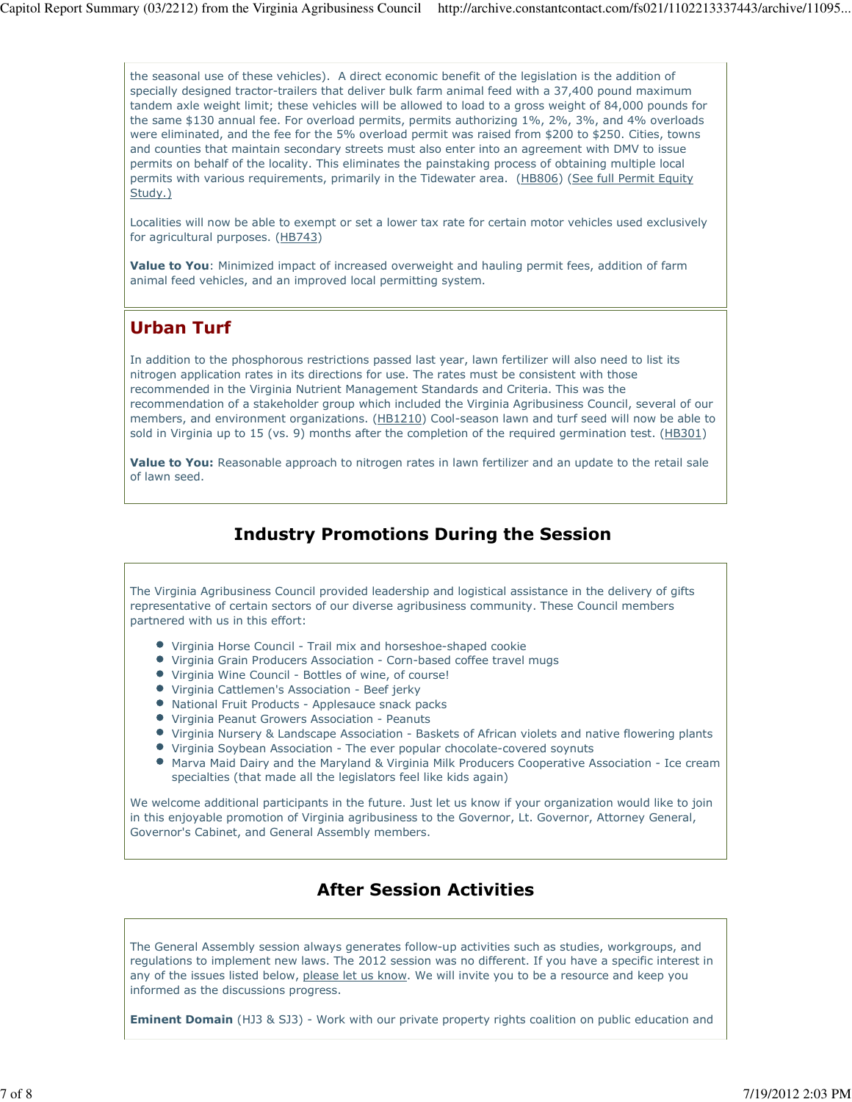the seasonal use of these vehicles). A direct economic benefit of the legislation is the addition of specially designed tractor-trailers that deliver bulk farm animal feed with a 37,400 pound maximum tandem axle weight limit; these vehicles will be allowed to load to a gross weight of 84,000 pounds for the same \$130 annual fee. For overload permits, permits authorizing 1%, 2%, 3%, and 4% overloads were eliminated, and the fee for the 5% overload permit was raised from \$200 to \$250. Cities, towns and counties that maintain secondary streets must also enter into an agreement with DMV to issue permits on behalf of the locality. This eliminates the painstaking process of obtaining multiple local permits with various requirements, primarily in the Tidewater area. (HB806) (See full Permit Equity Study.)

Localities will now be able to exempt or set a lower tax rate for certain motor vehicles used exclusively for agricultural purposes. (HB743)

Value to You: Minimized impact of increased overweight and hauling permit fees, addition of farm animal feed vehicles, and an improved local permitting system.

# Urban Turf

In addition to the phosphorous restrictions passed last year, lawn fertilizer will also need to list its nitrogen application rates in its directions for use. The rates must be consistent with those recommended in the Virginia Nutrient Management Standards and Criteria. This was the recommendation of a stakeholder group which included the Virginia Agribusiness Council, several of our members, and environment organizations. (HB1210) Cool-season lawn and turf seed will now be able to sold in Virginia up to 15 (vs. 9) months after the completion of the required germination test. (HB301)

Value to You: Reasonable approach to nitrogen rates in lawn fertilizer and an update to the retail sale of lawn seed.

### Industry Promotions During the Session

The Virginia Agribusiness Council provided leadership and logistical assistance in the delivery of gifts representative of certain sectors of our diverse agribusiness community. These Council members partnered with us in this effort:

- Virginia Horse Council Trail mix and horseshoe-shaped cookie
- Virginia Grain Producers Association Corn-based coffee travel mugs
- Virginia Wine Council Bottles of wine, of course!
- Virginia Cattlemen's Association Beef jerky
- National Fruit Products Applesauce snack packs
- Virginia Peanut Growers Association Peanuts
- Virginia Nursery & Landscape Association Baskets of African violets and native flowering plants
- Virginia Soybean Association The ever popular chocolate-covered soynuts
- Marva Maid Dairy and the Maryland & Virginia Milk Producers Cooperative Association Ice cream specialties (that made all the legislators feel like kids again)

We welcome additional participants in the future. Just let us know if your organization would like to join in this enjoyable promotion of Virginia agribusiness to the Governor, Lt. Governor, Attorney General, Governor's Cabinet, and General Assembly members.

# After Session Activities

The General Assembly session always generates follow-up activities such as studies, workgroups, and regulations to implement new laws. The 2012 session was no different. If you have a specific interest in any of the issues listed below, please let us know. We will invite you to be a resource and keep you informed as the discussions progress.

**Eminent Domain** (HJ3 & SJ3) - Work with our private property rights coalition on public education and